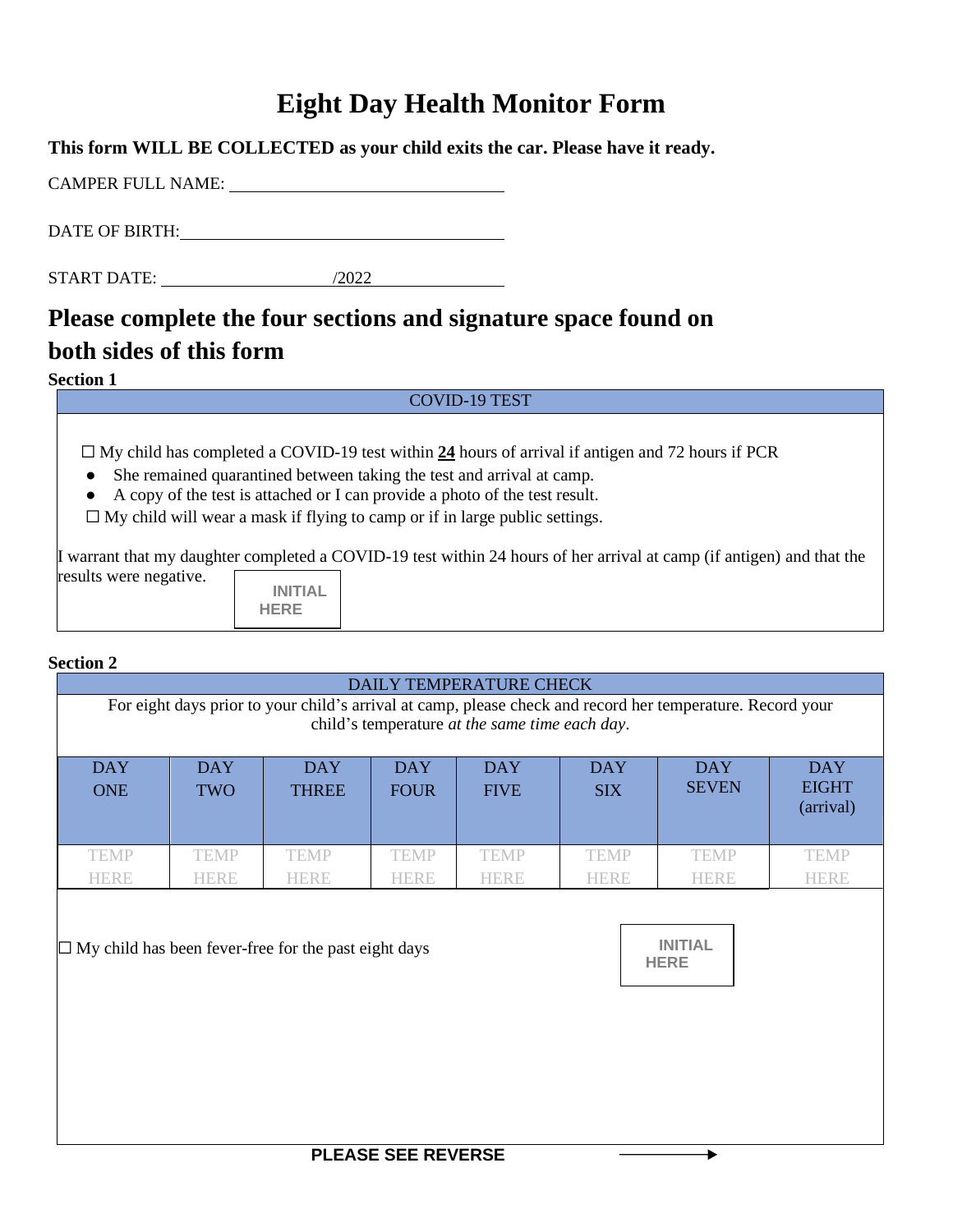# **Eight Day Health Monitor Form**

| This form WILL BE COLLECTED as your child exits the car. Please have it ready. |  |
|--------------------------------------------------------------------------------|--|
| CAMPER FULL NAME:                                                              |  |
| DATE OF BIRTH:                                                                 |  |
|                                                                                |  |

## START DATE: /2022

# **Please complete the four sections and signature space found on both sides of this form**

### **Section 1**

#### COVID-19 TEST

☐ My child has completed a COVID-19 test within **24** hours of arrival if antigen and 72 hours if PCR

- She remained quarantined between taking the test and arrival at camp.
- A copy of the test is attached or I can provide a photo of the test result.

 $\Box$  My child will wear a mask if flying to camp or if in large public settings.

I warrant that my daughter completed a COVID-19 test within 24 hours of her arrival at camp (if antigen) and that the results were negative.

| INITIAI |  |
|---------|--|
| HERE    |  |

### **Section 2**

| DAILY TEMPERATURE CHECK                                                                                                                                      |                            |                                                             |                            |                            |                            |                               |                                         |
|--------------------------------------------------------------------------------------------------------------------------------------------------------------|----------------------------|-------------------------------------------------------------|----------------------------|----------------------------|----------------------------|-------------------------------|-----------------------------------------|
| For eight days prior to your child's arrival at camp, please check and record her temperature. Record your<br>child's temperature at the same time each day. |                            |                                                             |                            |                            |                            |                               |                                         |
| <b>DAY</b><br><b>ONE</b>                                                                                                                                     | <b>DAY</b><br><b>TWO</b>   | <b>DAY</b><br><b>THREE</b>                                  | <b>DAY</b><br><b>FOUR</b>  | <b>DAY</b><br><b>FIVE</b>  | <b>DAY</b><br><b>SIX</b>   | <b>DAY</b><br><b>SEVEN</b>    | <b>DAY</b><br><b>EIGHT</b><br>(arrival) |
| <b>TEMP</b><br><b>HERE</b>                                                                                                                                   | <b>TEMP</b><br><b>HERE</b> | <b>TEMP</b><br><b>HERE</b>                                  | <b>TEMP</b><br><b>HERE</b> | <b>TEMP</b><br><b>HERE</b> | <b>TEMP</b><br><b>HERE</b> | <b>TEMP</b><br><b>HERE</b>    | <b>TEMP</b><br><b>HERE</b>              |
|                                                                                                                                                              |                            | $\Box$ My child has been fever-free for the past eight days |                            |                            |                            | <b>INITIAL</b><br><b>HERE</b> |                                         |